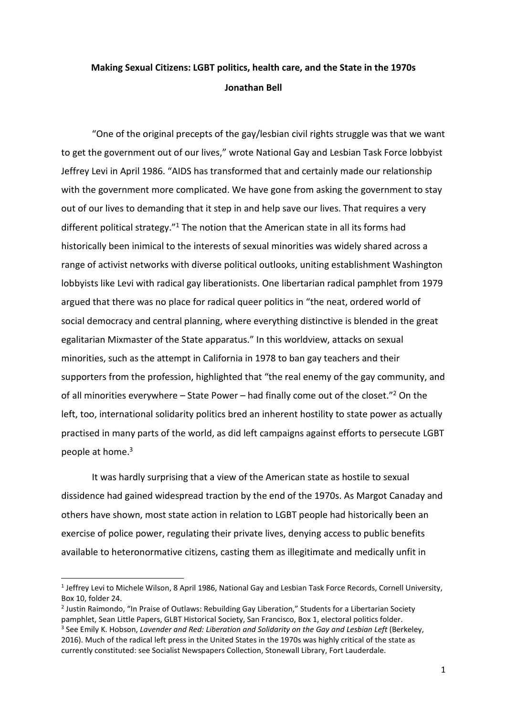# **Making Sexual Citizens: LGBT politics, health care, and the State in the 1970s Jonathan Bell**

"One of the original precepts of the gay/lesbian civil rights struggle was that we want to get the government out of our lives," wrote National Gay and Lesbian Task Force lobbyist Jeffrey Levi in April 1986. "AIDS has transformed that and certainly made our relationship with the government more complicated. We have gone from asking the government to stay out of our lives to demanding that it step in and help save our lives. That requires a very different political strategy."<sup>1</sup> The notion that the American state in all its forms had historically been inimical to the interests of sexual minorities was widely shared across a range of activist networks with diverse political outlooks, uniting establishment Washington lobbyists like Levi with radical gay liberationists. One libertarian radical pamphlet from 1979 argued that there was no place for radical queer politics in "the neat, ordered world of social democracy and central planning, where everything distinctive is blended in the great egalitarian Mixmaster of the State apparatus." In this worldview, attacks on sexual minorities, such as the attempt in California in 1978 to ban gay teachers and their supporters from the profession, highlighted that "the real enemy of the gay community, and of all minorities everywhere  $-$  State Power  $-$  had finally come out of the closet."<sup>2</sup> On the left, too, international solidarity politics bred an inherent hostility to state power as actually practised in many parts of the world, as did left campaigns against efforts to persecute LGBT people at home.<sup>3</sup>

It was hardly surprising that a view of the American state as hostile to sexual dissidence had gained widespread traction by the end of the 1970s. As Margot Canaday and others have shown, most state action in relation to LGBT people had historically been an exercise of police power, regulating their private lives, denying access to public benefits available to heteronormative citizens, casting them as illegitimate and medically unfit in

 $\overline{\phantom{a}}$ 

<sup>&</sup>lt;sup>1</sup> Jeffrey Levi to Michele Wilson, 8 April 1986, National Gay and Lesbian Task Force Records, Cornell University, Box 10, folder 24.

<sup>&</sup>lt;sup>2</sup> Justin Raimondo, "In Praise of Outlaws: Rebuilding Gay Liberation," Students for a Libertarian Society pamphlet, Sean Little Papers, GLBT Historical Society, San Francisco, Box 1, electoral politics folder. <sup>3</sup> See Emily K. Hobson, Lavender and Red: Liberation and Solidarity on the Gay and Lesbian Left (Berkeley, 2016). Much of the radical left press in the United States in the 1970s was highly critical of the state as currently constituted: see Socialist Newspapers Collection, Stonewall Library, Fort Lauderdale.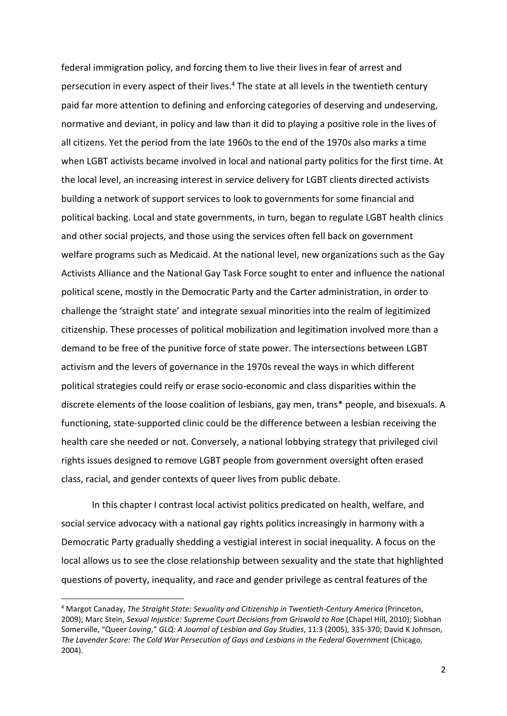federal immigration policy, and forcing them to live their lives in fear of arrest and persecution in every aspect of their lives.<sup>4</sup> The state at all levels in the twentieth century paid far more attention to defining and enforcing categories of deserving and undeserving, normative and deviant, in policy and law than it did to playing a positive role in the lives of all citizens. Yet the period from the late 1960s to the end of the 1970s also marks a time when LGBT activists became involved in local and national party politics for the first time. At the local level, an increasing interest in service delivery for LGBT clients directed activists building a network of support services to look to governments for some financial and political backing. Local and state governments, in turn, began to regulate LGBT health clinics and other social projects, and those using the services often fell back on government welfare programs such as Medicaid. At the national level, new organizations such as the Gay Activists Alliance and the National Gay Task Force sought to enter and influence the national political scene, mostly in the Democratic Party and the Carter administration, in order to challenge the 'straight state' and integrate sexual minorities into the realm of legitimized citizenship. These processes of political mobilization and legitimation involved more than a demand to be free of the punitive force of state power. The intersections between LGBT activism and the levers of governance in the 1970s reveal the ways in which different political strategies could reify or erase socio-economic and class disparities within the discrete elements of the loose coalition of lesbians, gay men, trans\* people, and bisexuals. A functioning, state-supported clinic could be the difference between a lesbian receiving the health care she needed or not. Conversely, a national lobbying strategy that privileged civil rights issues designed to remove LGBT people from government oversight often erased class, racial, and gender contexts of queer lives from public debate.

In this chapter I contrast local activist politics predicated on health, welfare, and social service advocacy with a national gay rights politics increasingly in harmony with a Democratic Party gradually shedding a vestigial interest in social inequality. A focus on the local allows us to see the close relationship between sexuality and the state that highlighted questions of poverty, inequality, and race and gender privilege as central features of the

<sup>&</sup>lt;sup>4</sup> Margot Canaday, *The Straight State: Sexuality and Citizenship in Twentieth-Century America (Princeton,* 2009); Marc Stein, *Sexual Injustice: Supreme Court Decisions from Griswold to Roe* (Chapel Hill, 2010); Siobhan Somerville, "Queer *Loving*," *GLQ: A Journal of Lesbian and Gay Studies*, 11:3 (2005), 335-370; David K Johnson, The Lavender Scare: The Cold War Persecution of Gays and Lesbians in the Federal Government (Chicago, 2004).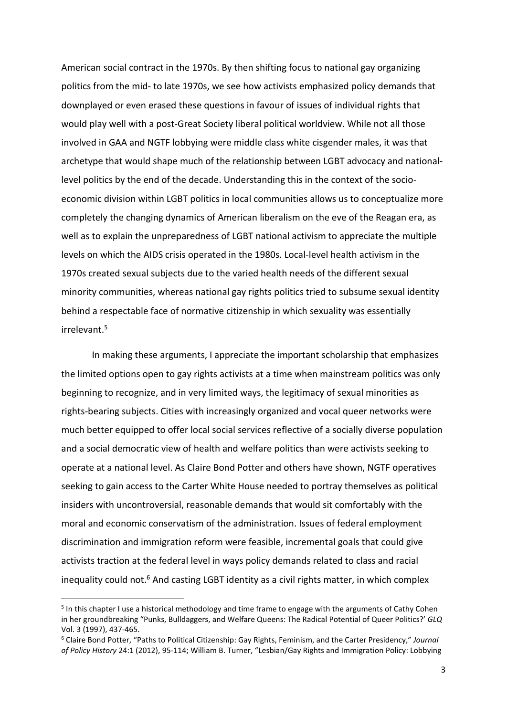American social contract in the 1970s. By then shifting focus to national gay organizing politics from the mid- to late 1970s, we see how activists emphasized policy demands that downplayed or even erased these questions in favour of issues of individual rights that would play well with a post-Great Society liberal political worldview. While not all those involved in GAA and NGTF lobbying were middle class white cisgender males, it was that archetype that would shape much of the relationship between LGBT advocacy and nationallevel politics by the end of the decade. Understanding this in the context of the socioeconomic division within LGBT politics in local communities allows us to conceptualize more completely the changing dynamics of American liberalism on the eve of the Reagan era, as well as to explain the unpreparedness of LGBT national activism to appreciate the multiple levels on which the AIDS crisis operated in the 1980s. Local-level health activism in the 1970s created sexual subjects due to the varied health needs of the different sexual minority communities, whereas national gay rights politics tried to subsume sexual identity behind a respectable face of normative citizenship in which sexuality was essentially irrelevant.<sup>5</sup>

In making these arguments, I appreciate the important scholarship that emphasizes the limited options open to gay rights activists at a time when mainstream politics was only beginning to recognize, and in very limited ways, the legitimacy of sexual minorities as rights-bearing subjects. Cities with increasingly organized and vocal queer networks were much better equipped to offer local social services reflective of a socially diverse population and a social democratic view of health and welfare politics than were activists seeking to operate at a national level. As Claire Bond Potter and others have shown, NGTF operatives seeking to gain access to the Carter White House needed to portray themselves as political insiders with uncontroversial, reasonable demands that would sit comfortably with the moral and economic conservatism of the administration. Issues of federal employment discrimination and immigration reform were feasible, incremental goals that could give activists traction at the federal level in ways policy demands related to class and racial inequality could not.<sup>6</sup> And casting LGBT identity as a civil rights matter, in which complex

<sup>&</sup>lt;sup>5</sup> In this chapter I use a historical methodology and time frame to engage with the arguments of Cathy Cohen in her groundbreaking "Punks, Bulldaggers, and Welfare Queens: The Radical Potential of Queer Politics?' *GLQ* Vol. 3 (1997), 437-465.

<sup>6</sup> Claire Bond Potter, "Paths to Political Citizenship: Gay Rights, Feminism, and the Carter Presidency," *Journal of Policy History* 24:1 (2012), 95-114; William B. Turner, "Lesbian/Gay Rights and Immigration Policy: Lobbying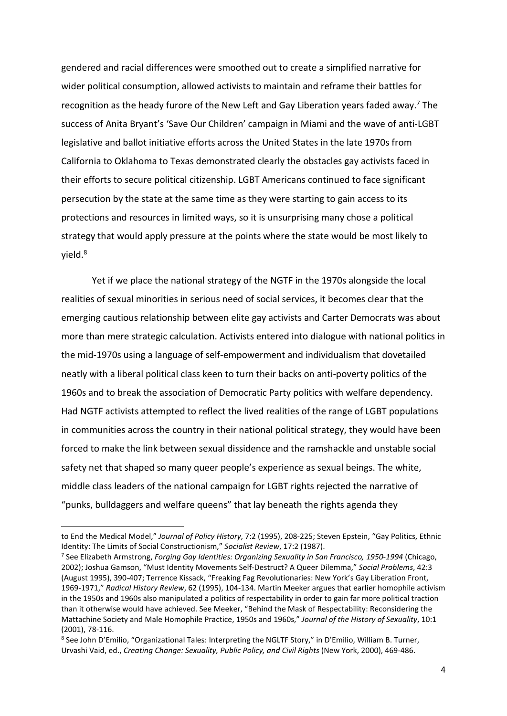gendered and racial differences were smoothed out to create a simplified narrative for wider political consumption, allowed activists to maintain and reframe their battles for recognition as the heady furore of the New Left and Gay Liberation years faded away.<sup>7</sup> The success of Anita Bryant's 'Save Our Children' campaign in Miami and the wave of anti-LGBT legislative and ballot initiative efforts across the United States in the late 1970s from California to Oklahoma to Texas demonstrated clearly the obstacles gay activists faced in their efforts to secure political citizenship. LGBT Americans continued to face significant persecution by the state at the same time as they were starting to gain access to its protections and resources in limited ways, so it is unsurprising many chose a political strategy that would apply pressure at the points where the state would be most likely to yield.<sup>8</sup>

Yet if we place the national strategy of the NGTF in the 1970s alongside the local realities of sexual minorities in serious need of social services, it becomes clear that the emerging cautious relationship between elite gay activists and Carter Democrats was about more than mere strategic calculation. Activists entered into dialogue with national politics in the mid-1970s using a language of self-empowerment and individualism that dovetailed neatly with a liberal political class keen to turn their backs on anti-poverty politics of the 1960s and to break the association of Democratic Party politics with welfare dependency. Had NGTF activists attempted to reflect the lived realities of the range of LGBT populations in communities across the country in their national political strategy, they would have been forced to make the link between sexual dissidence and the ramshackle and unstable social safety net that shaped so many queer people's experience as sexual beings. The white, middle class leaders of the national campaign for LGBT rights rejected the narrative of "punks, bulldaggers and welfare queens" that lay beneath the rights agenda they

 $\overline{\phantom{a}}$ 

to End the Medical Model," *Journal of Policy History*, 7:2 (1995), 208-225; Steven Epstein, "Gay Politics, Ethnic Identity: The Limits of Social Constructionism," *Socialist Review*, 17:2 (1987).

<sup>7</sup> See Elizabeth Armstrong, *Forging Gay Identities: Organizing Sexuality in San Francisco, 1950-1994* (Chicago, 2002); Joshua Gamson, "Must Identity Movements Self-Destruct? A Queer Dilemma," *Social Problems*, 42:3 (August 1995), 390-407; Terrence Kissack, "Freaking Fag Revolutionaries: New York's Gay Liberation Front, 1969-1971," *Radical History Review*, 62 (1995), 104-134. Martin Meeker argues that earlier homophile activism in the 1950s and 1960s also manipulated a politics of respectability in order to gain far more political traction than it otherwise would have achieved. See Meeker, "Behind the Mask of Respectability: Reconsidering the Mattachine Society and Male Homophile Practice, 1950s and 1960s," *Journal of the History of Sexuality*, 10:1 (2001), 78-116.

<sup>&</sup>lt;sup>8</sup> See John D'Emilio, "Organizational Tales: Interpreting the NGLTF Story," in D'Emilio, William B. Turner, Urvashi Vaid, ed., *Creating Change: Sexuality, Public Policy, and Civil Rights* (New York, 2000), 469-486.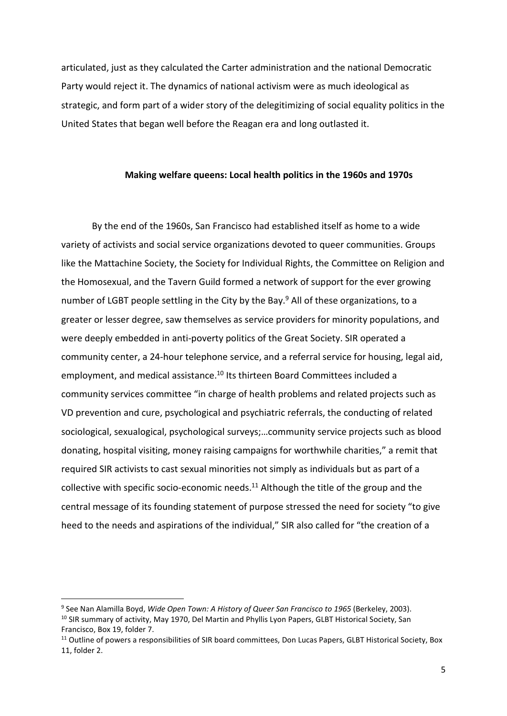articulated, just as they calculated the Carter administration and the national Democratic Party would reject it. The dynamics of national activism were as much ideological as strategic, and form part of a wider story of the delegitimizing of social equality politics in the United States that began well before the Reagan era and long outlasted it.

### **Making welfare queens: Local health politics in the 1960s and 1970s**

By the end of the 1960s, San Francisco had established itself as home to a wide variety of activists and social service organizations devoted to queer communities. Groups like the Mattachine Society, the Society for Individual Rights, the Committee on Religion and the Homosexual, and the Tavern Guild formed a network of support for the ever growing number of LGBT people settling in the City by the Bay.<sup>9</sup> All of these organizations, to a greater or lesser degree, saw themselves as service providers for minority populations, and were deeply embedded in anti-poverty politics of the Great Society. SIR operated a community center, a 24-hour telephone service, and a referral service for housing, legal aid, employment, and medical assistance.<sup>10</sup> Its thirteen Board Committees included a community services committee "in charge of health problems and related projects such as VD prevention and cure, psychological and psychiatric referrals, the conducting of related sociological, sexualogical, psychological surveys;…community service projects such as blood donating, hospital visiting, money raising campaigns for worthwhile charities," a remit that required SIR activists to cast sexual minorities not simply as individuals but as part of a collective with specific socio-economic needs.<sup>11</sup> Although the title of the group and the central message of its founding statement of purpose stressed the need for society "to give heed to the needs and aspirations of the individual," SIR also called for "the creation of a

<sup>&</sup>lt;sup>9</sup> See Nan Alamilla Boyd, *Wide Open Town: A History of Queer San Francisco to 1965* (Berkeley, 2003). <sup>10</sup> SIR summary of activity, May 1970, Del Martin and Phyllis Lyon Papers, GLBT Historical Society, San Francisco, Box 19, folder 7.

<sup>&</sup>lt;sup>11</sup> Outline of powers a responsibilities of SIR board committees, Don Lucas Papers, GLBT Historical Society, Box 11, folder 2.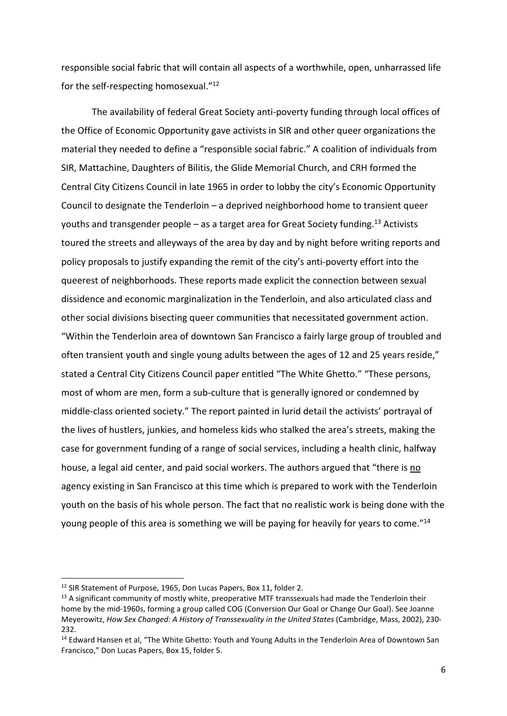responsible social fabric that will contain all aspects of a worthwhile, open, unharrassed life for the self-respecting homosexual."<sup>12</sup>

The availability of federal Great Society anti-poverty funding through local offices of the Office of Economic Opportunity gave activists in SIR and other queer organizations the material they needed to define a "responsible social fabric." A coalition of individuals from SIR, Mattachine, Daughters of Bilitis, the Glide Memorial Church, and CRH formed the Central City Citizens Council in late 1965 in order to lobby the city's Economic Opportunity Council to designate the Tenderloin – a deprived neighborhood home to transient queer youths and transgender people  $-$  as a target area for Great Society funding.<sup>13</sup> Activists toured the streets and alleyways of the area by day and by night before writing reports and policy proposals to justify expanding the remit of the city's anti-poverty effort into the queerest of neighborhoods. These reports made explicit the connection between sexual dissidence and economic marginalization in the Tenderloin, and also articulated class and other social divisions bisecting queer communities that necessitated government action. "Within the Tenderloin area of downtown San Francisco a fairly large group of troubled and often transient youth and single young adults between the ages of 12 and 25 years reside," stated a Central City Citizens Council paper entitled "The White Ghetto." "These persons, most of whom are men, form a sub-culture that is generally ignored or condemned by middle-class oriented society." The report painted in lurid detail the activists' portrayal of the lives of hustlers, junkies, and homeless kids who stalked the area's streets, making the case for government funding of a range of social services, including a health clinic, halfway house, a legal aid center, and paid social workers. The authors argued that "there is no agency existing in San Francisco at this time which is prepared to work with the Tenderloin youth on the basis of his whole person. The fact that no realistic work is being done with the young people of this area is something we will be paying for heavily for years to come."<sup>14</sup>

 $\overline{\phantom{a}}$ 

<sup>&</sup>lt;sup>12</sup> SIR Statement of Purpose, 1965, Don Lucas Papers, Box 11, folder 2.

<sup>&</sup>lt;sup>13</sup> A significant community of mostly white, preoperative MTF transsexuals had made the Tenderloin their home by the mid-1960s, forming a group called COG (Conversion Our Goal or Change Our Goal). See Joanne Meyerowitz, *How Sex Changed: A History of Transsexuality in the United States* (Cambridge, Mass, 2002), 230- 232.

<sup>&</sup>lt;sup>14</sup> Edward Hansen et al, "The White Ghetto: Youth and Young Adults in the Tenderloin Area of Downtown San Francisco," Don Lucas Papers, Box 15, folder 5.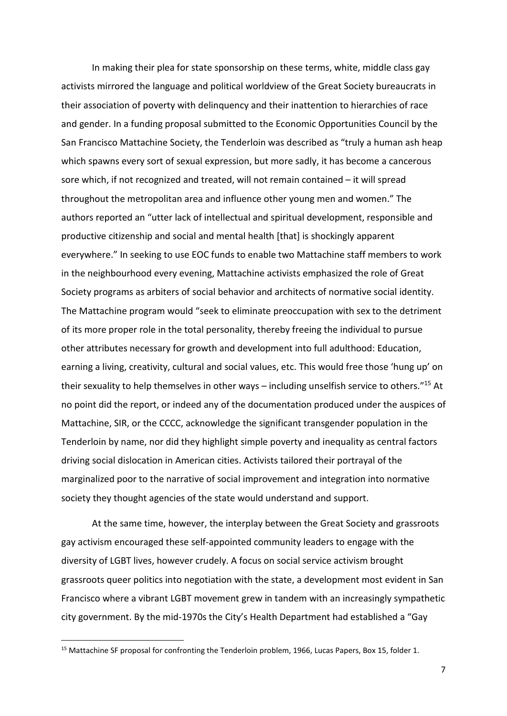In making their plea for state sponsorship on these terms, white, middle class gay activists mirrored the language and political worldview of the Great Society bureaucrats in their association of poverty with delinquency and their inattention to hierarchies of race and gender. In a funding proposal submitted to the Economic Opportunities Council by the San Francisco Mattachine Society, the Tenderloin was described as "truly a human ash heap which spawns every sort of sexual expression, but more sadly, it has become a cancerous sore which, if not recognized and treated, will not remain contained – it will spread throughout the metropolitan area and influence other young men and women." The authors reported an "utter lack of intellectual and spiritual development, responsible and productive citizenship and social and mental health [that] is shockingly apparent everywhere." In seeking to use EOC funds to enable two Mattachine staff members to work in the neighbourhood every evening, Mattachine activists emphasized the role of Great Society programs as arbiters of social behavior and architects of normative social identity. The Mattachine program would "seek to eliminate preoccupation with sex to the detriment of its more proper role in the total personality, thereby freeing the individual to pursue other attributes necessary for growth and development into full adulthood: Education, earning a living, creativity, cultural and social values, etc. This would free those 'hung up' on their sexuality to help themselves in other ways – including unselfish service to others."<sup>15</sup> At no point did the report, or indeed any of the documentation produced under the auspices of Mattachine, SIR, or the CCCC, acknowledge the significant transgender population in the Tenderloin by name, nor did they highlight simple poverty and inequality as central factors driving social dislocation in American cities. Activists tailored their portrayal of the marginalized poor to the narrative of social improvement and integration into normative society they thought agencies of the state would understand and support.

At the same time, however, the interplay between the Great Society and grassroots gay activism encouraged these self-appointed community leaders to engage with the diversity of LGBT lives, however crudely. A focus on social service activism brought grassroots queer politics into negotiation with the state, a development most evident in San Francisco where a vibrant LGBT movement grew in tandem with an increasingly sympathetic city government. By the mid-1970s the City's Health Department had established a "Gay

<sup>&</sup>lt;sup>15</sup> Mattachine SF proposal for confronting the Tenderloin problem, 1966, Lucas Papers, Box 15, folder 1.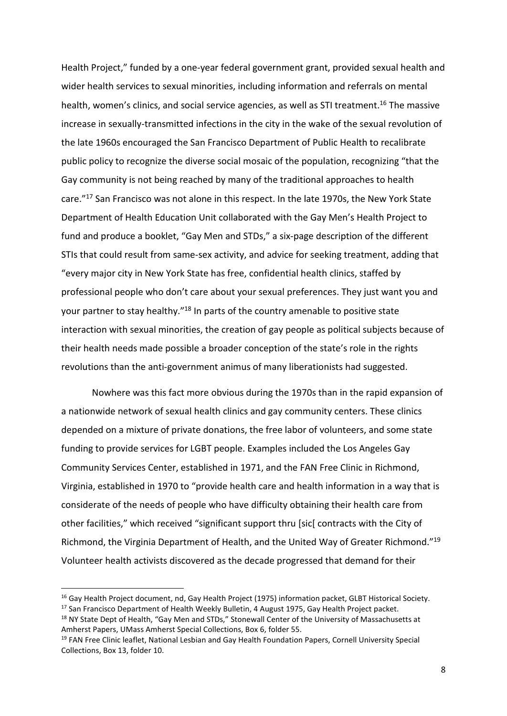Health Project," funded by a one-year federal government grant, provided sexual health and wider health services to sexual minorities, including information and referrals on mental health, women's clinics, and social service agencies, as well as STI treatment.<sup>16</sup> The massive increase in sexually-transmitted infections in the city in the wake of the sexual revolution of the late 1960s encouraged the San Francisco Department of Public Health to recalibrate public policy to recognize the diverse social mosaic of the population, recognizing "that the Gay community is not being reached by many of the traditional approaches to health care."<sup>17</sup> San Francisco was not alone in this respect. In the late 1970s, the New York State Department of Health Education Unit collaborated with the Gay Men's Health Project to fund and produce a booklet, "Gay Men and STDs," a six-page description of the different STIs that could result from same-sex activity, and advice for seeking treatment, adding that "every major city in New York State has free, confidential health clinics, staffed by professional people who don't care about your sexual preferences. They just want you and your partner to stay healthy."<sup>18</sup> In parts of the country amenable to positive state interaction with sexual minorities, the creation of gay people as political subjects because of their health needs made possible a broader conception of the state's role in the rights revolutions than the anti-government animus of many liberationists had suggested.

Nowhere was this fact more obvious during the 1970s than in the rapid expansion of a nationwide network of sexual health clinics and gay community centers. These clinics depended on a mixture of private donations, the free labor of volunteers, and some state funding to provide services for LGBT people. Examples included the Los Angeles Gay Community Services Center, established in 1971, and the FAN Free Clinic in Richmond, Virginia, established in 1970 to "provide health care and health information in a way that is considerate of the needs of people who have difficulty obtaining their health care from other facilities," which received "significant support thru [sic] contracts with the City of Richmond, the Virginia Department of Health, and the United Way of Greater Richmond."<sup>19</sup> Volunteer health activists discovered as the decade progressed that demand for their

<sup>&</sup>lt;sup>16</sup> Gay Health Project document, nd, Gay Health Project (1975) information packet, GLBT Historical Society.

<sup>&</sup>lt;sup>17</sup> San Francisco Department of Health Weekly Bulletin, 4 August 1975, Gay Health Project packet.

<sup>&</sup>lt;sup>18</sup> NY State Dept of Health, "Gay Men and STDs," Stonewall Center of the University of Massachusetts at Amherst Papers, UMass Amherst Special Collections, Box 6, folder 55.

<sup>&</sup>lt;sup>19</sup> FAN Free Clinic leaflet, National Lesbian and Gay Health Foundation Papers, Cornell University Special Collections, Box 13, folder 10.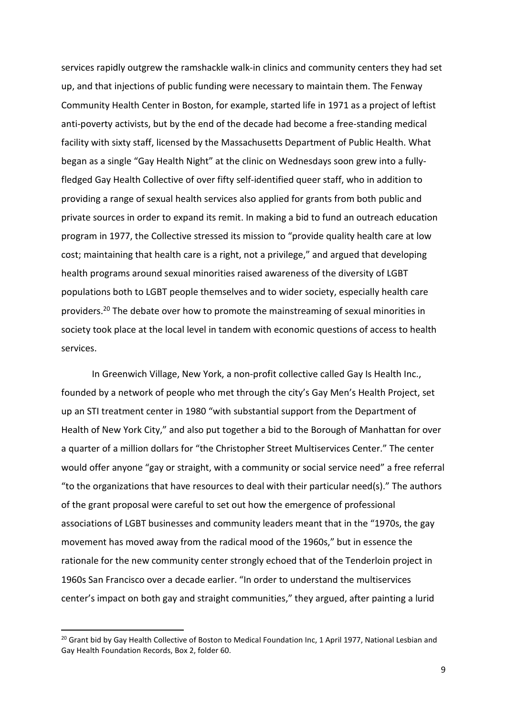services rapidly outgrew the ramshackle walk-in clinics and community centers they had set up, and that injections of public funding were necessary to maintain them. The Fenway Community Health Center in Boston, for example, started life in 1971 as a project of leftist anti-poverty activists, but by the end of the decade had become a free-standing medical facility with sixty staff, licensed by the Massachusetts Department of Public Health. What began as a single "Gay Health Night" at the clinic on Wednesdays soon grew into a fullyfledged Gay Health Collective of over fifty self-identified queer staff, who in addition to providing a range of sexual health services also applied for grants from both public and private sources in order to expand its remit. In making a bid to fund an outreach education program in 1977, the Collective stressed its mission to "provide quality health care at low cost; maintaining that health care is a right, not a privilege," and argued that developing health programs around sexual minorities raised awareness of the diversity of LGBT populations both to LGBT people themselves and to wider society, especially health care providers.<sup>20</sup> The debate over how to promote the mainstreaming of sexual minorities in society took place at the local level in tandem with economic questions of access to health services.

In Greenwich Village, New York, a non-profit collective called Gay Is Health Inc., founded by a network of people who met through the city's Gay Men's Health Project, set up an STI treatment center in 1980 "with substantial support from the Department of Health of New York City," and also put together a bid to the Borough of Manhattan for over a quarter of a million dollars for "the Christopher Street Multiservices Center." The center would offer anyone "gay or straight, with a community or social service need" a free referral "to the organizations that have resources to deal with their particular need(s)." The authors of the grant proposal were careful to set out how the emergence of professional associations of LGBT businesses and community leaders meant that in the "1970s, the gay movement has moved away from the radical mood of the 1960s," but in essence the rationale for the new community center strongly echoed that of the Tenderloin project in 1960s San Francisco over a decade earlier. "In order to understand the multiservices center's impact on both gay and straight communities," they argued, after painting a lurid

<sup>&</sup>lt;sup>20</sup> Grant bid by Gay Health Collective of Boston to Medical Foundation Inc, 1 April 1977, National Lesbian and Gay Health Foundation Records, Box 2, folder 60.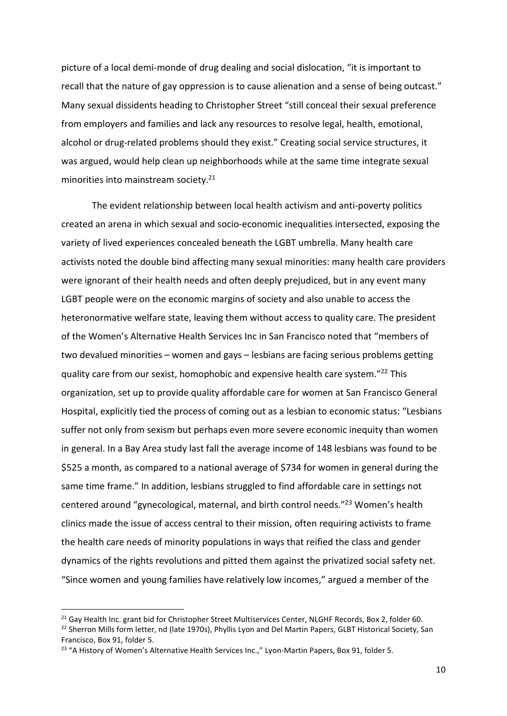picture of a local demi-monde of drug dealing and social dislocation, "it is important to recall that the nature of gay oppression is to cause alienation and a sense of being outcast." Many sexual dissidents heading to Christopher Street "still conceal their sexual preference from employers and families and lack any resources to resolve legal, health, emotional, alcohol or drug-related problems should they exist." Creating social service structures, it was argued, would help clean up neighborhoods while at the same time integrate sexual minorities into mainstream society.<sup>21</sup>

The evident relationship between local health activism and anti-poverty politics created an arena in which sexual and socio-economic inequalities intersected, exposing the variety of lived experiences concealed beneath the LGBT umbrella. Many health care activists noted the double bind affecting many sexual minorities: many health care providers were ignorant of their health needs and often deeply prejudiced, but in any event many LGBT people were on the economic margins of society and also unable to access the heteronormative welfare state, leaving them without access to quality care. The president of the Women's Alternative Health Services Inc in San Francisco noted that "members of two devalued minorities – women and gays – lesbians are facing serious problems getting quality care from our sexist, homophobic and expensive health care system."<sup>22</sup> This organization, set up to provide quality affordable care for women at San Francisco General Hospital, explicitly tied the process of coming out as a lesbian to economic status: "Lesbians suffer not only from sexism but perhaps even more severe economic inequity than women in general. In a Bay Area study last fall the average income of 148 lesbians was found to be \$525 a month, as compared to a national average of \$734 for women in general during the same time frame." In addition, lesbians struggled to find affordable care in settings not centered around "gynecological, maternal, and birth control needs."<sup>23</sup> Women's health clinics made the issue of access central to their mission, often requiring activists to frame the health care needs of minority populations in ways that reified the class and gender dynamics of the rights revolutions and pitted them against the privatized social safety net. "Since women and young families have relatively low incomes," argued a member of the

<sup>&</sup>lt;sup>21</sup> Gay Health Inc. grant bid for Christopher Street Multiservices Center, NLGHF Records, Box 2, folder 60. <sup>22</sup> Sherron Mills form letter, nd (late 1970s), Phyllis Lyon and Del Martin Papers, GLBT Historical Society, San Francisco, Box 91, folder 5.

<sup>&</sup>lt;sup>23</sup> "A History of Women's Alternative Health Services Inc.," Lyon-Martin Papers, Box 91, folder 5.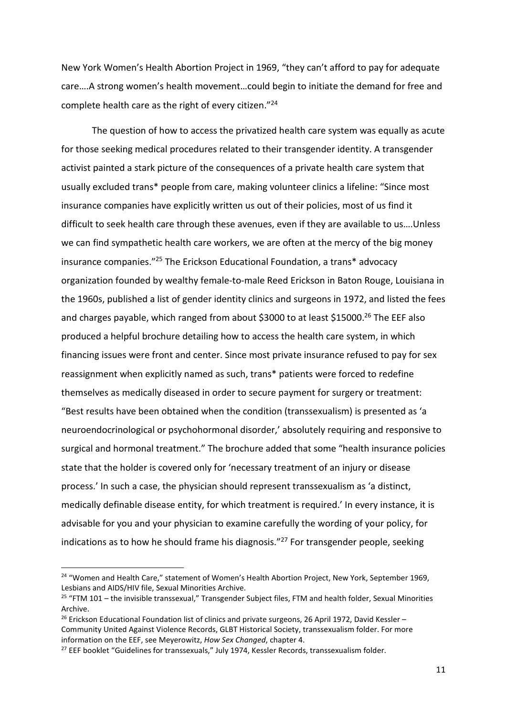New York Women's Health Abortion Project in 1969, "they can't afford to pay for adequate care….A strong women's health movement…could begin to initiate the demand for free and complete health care as the right of every citizen."<sup>24</sup>

The question of how to access the privatized health care system was equally as acute for those seeking medical procedures related to their transgender identity. A transgender activist painted a stark picture of the consequences of a private health care system that usually excluded trans\* people from care, making volunteer clinics a lifeline: "Since most insurance companies have explicitly written us out of their policies, most of us find it difficult to seek health care through these avenues, even if they are available to us….Unless we can find sympathetic health care workers, we are often at the mercy of the big money insurance companies."<sup>25</sup> The Erickson Educational Foundation, a trans\* advocacy organization founded by wealthy female-to-male Reed Erickson in Baton Rouge, Louisiana in the 1960s, published a list of gender identity clinics and surgeons in 1972, and listed the fees and charges payable, which ranged from about \$3000 to at least \$15000.<sup>26</sup> The EEF also produced a helpful brochure detailing how to access the health care system, in which financing issues were front and center. Since most private insurance refused to pay for sex reassignment when explicitly named as such, trans\* patients were forced to redefine themselves as medically diseased in order to secure payment for surgery or treatment: "Best results have been obtained when the condition (transsexualism) is presented as 'a neuroendocrinological or psychohormonal disorder,' absolutely requiring and responsive to surgical and hormonal treatment." The brochure added that some "health insurance policies state that the holder is covered only for 'necessary treatment of an injury or disease process.' In such a case, the physician should represent transsexualism as 'a distinct, medically definable disease entity, for which treatment is required.' In every instance, it is advisable for you and your physician to examine carefully the wording of your policy, for indications as to how he should frame his diagnosis." $^{27}$  For transgender people, seeking

-

<sup>&</sup>lt;sup>24</sup> "Women and Health Care," statement of Women's Health Abortion Project, New York, September 1969, Lesbians and AIDS/HIV file, Sexual Minorities Archive.

<sup>&</sup>lt;sup>25</sup> "FTM 101 – the invisible transsexual," Transgender Subject files, FTM and health folder, Sexual Minorities Archive.

<sup>&</sup>lt;sup>26</sup> Erickson Educational Foundation list of clinics and private surgeons, 26 April 1972, David Kessler -Community United Against Violence Records, GLBT Historical Society, transsexualism folder. For more information on the EEF, see Meyerowitz, *How Sex Changed*, chapter 4.

<sup>&</sup>lt;sup>27</sup> EEF booklet "Guidelines for transsexuals," July 1974, Kessler Records, transsexualism folder.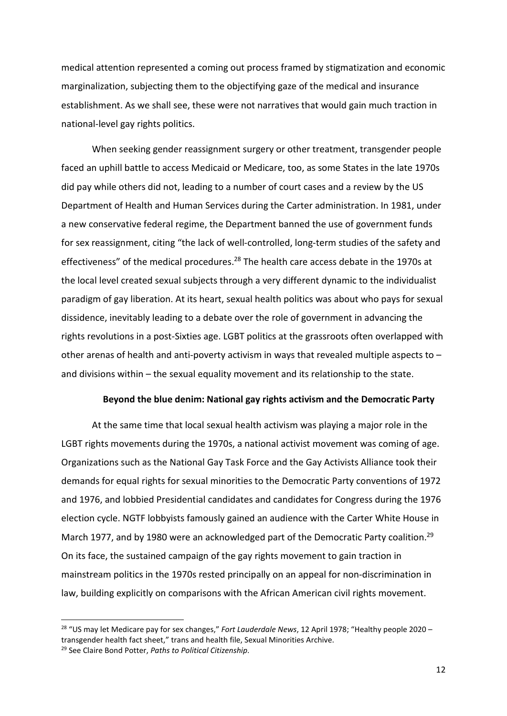medical attention represented a coming out process framed by stigmatization and economic marginalization, subjecting them to the objectifying gaze of the medical and insurance establishment. As we shall see, these were not narratives that would gain much traction in national-level gay rights politics.

When seeking gender reassignment surgery or other treatment, transgender people faced an uphill battle to access Medicaid or Medicare, too, as some States in the late 1970s did pay while others did not, leading to a number of court cases and a review by the US Department of Health and Human Services during the Carter administration. In 1981, under a new conservative federal regime, the Department banned the use of government funds for sex reassignment, citing "the lack of well-controlled, long-term studies of the safety and effectiveness" of the medical procedures.<sup>28</sup> The health care access debate in the 1970s at the local level created sexual subjects through a very different dynamic to the individualist paradigm of gay liberation. At its heart, sexual health politics was about who pays for sexual dissidence, inevitably leading to a debate over the role of government in advancing the rights revolutions in a post-Sixties age. LGBT politics at the grassroots often overlapped with other arenas of health and anti-poverty activism in ways that revealed multiple aspects to  $$ and divisions within – the sexual equality movement and its relationship to the state.

## **Beyond the blue denim: National gay rights activism and the Democratic Party**

At the same time that local sexual health activism was playing a major role in the LGBT rights movements during the 1970s, a national activist movement was coming of age. Organizations such as the National Gay Task Force and the Gay Activists Alliance took their demands for equal rights for sexual minorities to the Democratic Party conventions of 1972 and 1976, and lobbied Presidential candidates and candidates for Congress during the 1976 election cycle. NGTF lobbyists famously gained an audience with the Carter White House in March 1977, and by 1980 were an acknowledged part of the Democratic Party coalition.<sup>29</sup> On its face, the sustained campaign of the gay rights movement to gain traction in mainstream politics in the 1970s rested principally on an appeal for non-discrimination in law, building explicitly on comparisons with the African American civil rights movement.

<sup>28</sup> "US may let Medicare pay for sex changes," *Fort Lauderdale News*, 12 April 1978; "Healthy people 2020 – transgender health fact sheet," trans and health file, Sexual Minorities Archive.

<sup>29</sup> See Claire Bond Potter, *Paths to Political Citizenship*.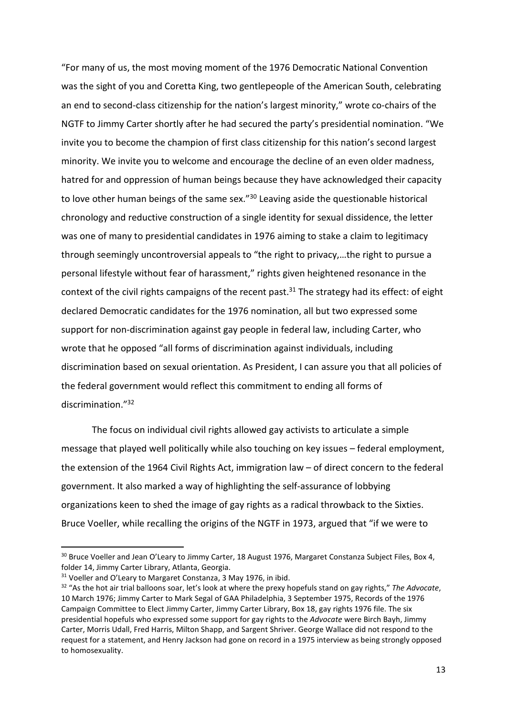"For many of us, the most moving moment of the 1976 Democratic National Convention was the sight of you and Coretta King, two gentlepeople of the American South, celebrating an end to second-class citizenship for the nation's largest minority," wrote co-chairs of the NGTF to Jimmy Carter shortly after he had secured the party's presidential nomination. "We invite you to become the champion of first class citizenship for this nation's second largest minority. We invite you to welcome and encourage the decline of an even older madness, hatred for and oppression of human beings because they have acknowledged their capacity to love other human beings of the same sex."<sup>30</sup> Leaving aside the questionable historical chronology and reductive construction of a single identity for sexual dissidence, the letter was one of many to presidential candidates in 1976 aiming to stake a claim to legitimacy through seemingly uncontroversial appeals to "the right to privacy,…the right to pursue a personal lifestyle without fear of harassment," rights given heightened resonance in the context of the civil rights campaigns of the recent past.<sup>31</sup> The strategy had its effect: of eight declared Democratic candidates for the 1976 nomination, all but two expressed some support for non-discrimination against gay people in federal law, including Carter, who wrote that he opposed "all forms of discrimination against individuals, including discrimination based on sexual orientation. As President, I can assure you that all policies of the federal government would reflect this commitment to ending all forms of discrimination."<sup>32</sup>

The focus on individual civil rights allowed gay activists to articulate a simple message that played well politically while also touching on key issues – federal employment, the extension of the 1964 Civil Rights Act, immigration law – of direct concern to the federal government. It also marked a way of highlighting the self-assurance of lobbying organizations keen to shed the image of gay rights as a radical throwback to the Sixties. Bruce Voeller, while recalling the origins of the NGTF in 1973, argued that "if we were to

-

<sup>&</sup>lt;sup>30</sup> Bruce Voeller and Jean O'Leary to Jimmy Carter, 18 August 1976, Margaret Constanza Subject Files, Box 4, folder 14, Jimmy Carter Library, Atlanta, Georgia.

 $31$  Voeller and O'Leary to Margaret Constanza, 3 May 1976, in ibid.

<sup>32</sup> "As the hot air trial balloons soar, let's look at where the prexy hopefuls stand on gay rights," *The Advocate*, 10 March 1976; Jimmy Carter to Mark Segal of GAA Philadelphia, 3 September 1975, Records of the 1976 Campaign Committee to Elect Jimmy Carter, Jimmy Carter Library, Box 18, gay rights 1976 file. The six presidential hopefuls who expressed some support for gay rights to the *Advocate* were Birch Bayh, Jimmy Carter, Morris Udall, Fred Harris, Milton Shapp, and Sargent Shriver. George Wallace did not respond to the request for a statement, and Henry Jackson had gone on record in a 1975 interview as being strongly opposed to homosexuality.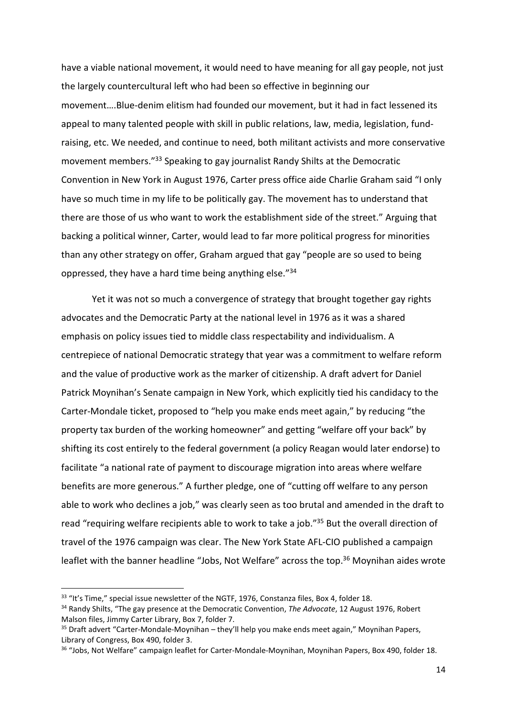have a viable national movement, it would need to have meaning for all gay people, not just the largely countercultural left who had been so effective in beginning our movement….Blue-denim elitism had founded our movement, but it had in fact lessened its appeal to many talented people with skill in public relations, law, media, legislation, fundraising, etc. We needed, and continue to need, both militant activists and more conservative movement members."<sup>33</sup> Speaking to gay journalist Randy Shilts at the Democratic Convention in New York in August 1976, Carter press office aide Charlie Graham said "I only have so much time in my life to be politically gay. The movement has to understand that there are those of us who want to work the establishment side of the street." Arguing that backing a political winner, Carter, would lead to far more political progress for minorities than any other strategy on offer, Graham argued that gay "people are so used to being oppressed, they have a hard time being anything else."<sup>34</sup>

Yet it was not so much a convergence of strategy that brought together gay rights advocates and the Democratic Party at the national level in 1976 as it was a shared emphasis on policy issues tied to middle class respectability and individualism. A centrepiece of national Democratic strategy that year was a commitment to welfare reform and the value of productive work as the marker of citizenship. A draft advert for Daniel Patrick Moynihan's Senate campaign in New York, which explicitly tied his candidacy to the Carter-Mondale ticket, proposed to "help you make ends meet again," by reducing "the property tax burden of the working homeowner" and getting "welfare off your back" by shifting its cost entirely to the federal government (a policy Reagan would later endorse) to facilitate "a national rate of payment to discourage migration into areas where welfare benefits are more generous." A further pledge, one of "cutting off welfare to any person able to work who declines a job," was clearly seen as too brutal and amended in the draft to read "requiring welfare recipients able to work to take a job."<sup>35</sup> But the overall direction of travel of the 1976 campaign was clear. The New York State AFL-CIO published a campaign leaflet with the banner headline "Jobs, Not Welfare" across the top.<sup>36</sup> Moynihan aides wrote

<sup>&</sup>lt;sup>33</sup> "It's Time," special issue newsletter of the NGTF, 1976, Constanza files, Box 4, folder 18.

<sup>34</sup> Randy Shilts, "The gay presence at the Democratic Convention, *The Advocate*, 12 August 1976, Robert Malson files, Jimmy Carter Library, Box 7, folder 7.

<sup>35</sup> Draft advert "Carter-Mondale-Moynihan – they'll help you make ends meet again," Moynihan Papers, Library of Congress, Box 490, folder 3.

<sup>&</sup>lt;sup>36</sup> "Jobs, Not Welfare" campaign leaflet for Carter-Mondale-Moynihan, Moynihan Papers, Box 490, folder 18.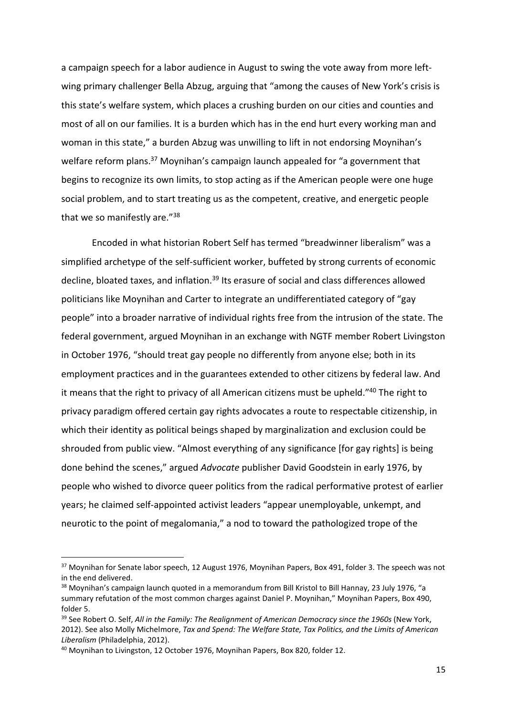a campaign speech for a labor audience in August to swing the vote away from more leftwing primary challenger Bella Abzug, arguing that "among the causes of New York's crisis is this state's welfare system, which places a crushing burden on our cities and counties and most of all on our families. It is a burden which has in the end hurt every working man and woman in this state," a burden Abzug was unwilling to lift in not endorsing Moynihan's welfare reform plans.<sup>37</sup> Moynihan's campaign launch appealed for "a government that begins to recognize its own limits, to stop acting as if the American people were one huge social problem, and to start treating us as the competent, creative, and energetic people that we so manifestly are."<sup>38</sup>

Encoded in what historian Robert Self has termed "breadwinner liberalism" was a simplified archetype of the self-sufficient worker, buffeted by strong currents of economic decline, bloated taxes, and inflation.<sup>39</sup> Its erasure of social and class differences allowed politicians like Moynihan and Carter to integrate an undifferentiated category of "gay people" into a broader narrative of individual rights free from the intrusion of the state. The federal government, argued Moynihan in an exchange with NGTF member Robert Livingston in October 1976, "should treat gay people no differently from anyone else; both in its employment practices and in the guarantees extended to other citizens by federal law. And it means that the right to privacy of all American citizens must be upheld."<sup>40</sup> The right to privacy paradigm offered certain gay rights advocates a route to respectable citizenship, in which their identity as political beings shaped by marginalization and exclusion could be shrouded from public view. "Almost everything of any significance [for gay rights] is being done behind the scenes," argued *Advocate* publisher David Goodstein in early 1976, by people who wished to divorce queer politics from the radical performative protest of earlier years; he claimed self-appointed activist leaders "appear unemployable, unkempt, and neurotic to the point of megalomania," a nod to toward the pathologized trope of the

<sup>&</sup>lt;sup>37</sup> Moynihan for Senate labor speech, 12 August 1976, Moynihan Papers, Box 491, folder 3. The speech was not in the end delivered.

<sup>&</sup>lt;sup>38</sup> Moynihan's campaign launch quoted in a memorandum from Bill Kristol to Bill Hannay, 23 July 1976, "a summary refutation of the most common charges against Daniel P. Moynihan," Moynihan Papers, Box 490, folder 5.

<sup>&</sup>lt;sup>39</sup> See Robert O. Self, All in the Family: The Realignment of American Democracy since the 1960s (New York, 2012). See also Molly Michelmore, *Tax and Spend: The Welfare State, Tax Politics, and the Limits of American Liberalism* (Philadelphia, 2012).

<sup>40</sup> Moynihan to Livingston, 12 October 1976, Moynihan Papers, Box 820, folder 12.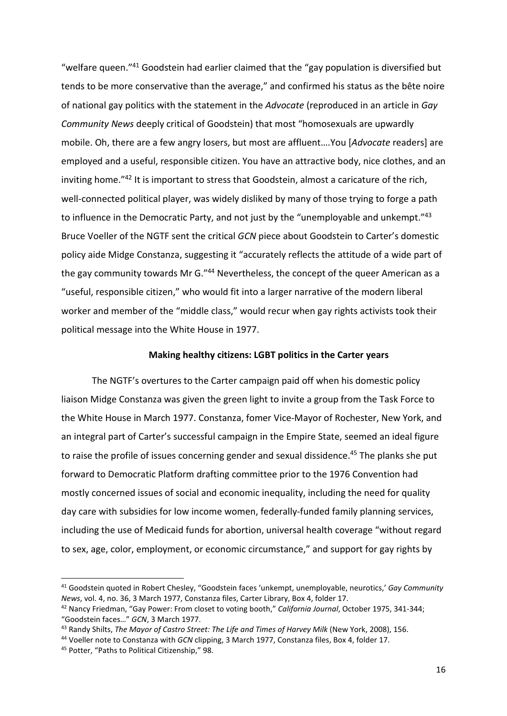"welfare queen."<sup>41</sup> Goodstein had earlier claimed that the "gay population is diversified but tends to be more conservative than the average," and confirmed his status as the bête noire of national gay politics with the statement in the *Advocate* (reproduced in an article in *Gay Community News* deeply critical of Goodstein) that most "homosexuals are upwardly mobile. Oh, there are a few angry losers, but most are affluent….You [*Advocate* readers] are employed and a useful, responsible citizen. You have an attractive body, nice clothes, and an inviting home."<sup>42</sup> It is important to stress that Goodstein, almost a caricature of the rich, well-connected political player, was widely disliked by many of those trying to forge a path to influence in the Democratic Party, and not just by the "unemployable and unkempt."<sup>43</sup> Bruce Voeller of the NGTF sent the critical *GCN* piece about Goodstein to Carter's domestic policy aide Midge Constanza, suggesting it "accurately reflects the attitude of a wide part of the gay community towards Mr G.<sup>"44</sup> Nevertheless, the concept of the queer American as a "useful, responsible citizen," who would fit into a larger narrative of the modern liberal worker and member of the "middle class," would recur when gay rights activists took their political message into the White House in 1977.

### **Making healthy citizens: LGBT politics in the Carter years**

The NGTF's overtures to the Carter campaign paid off when his domestic policy liaison Midge Constanza was given the green light to invite a group from the Task Force to the White House in March 1977. Constanza, fomer Vice-Mayor of Rochester, New York, and an integral part of Carter's successful campaign in the Empire State, seemed an ideal figure to raise the profile of issues concerning gender and sexual dissidence.<sup>45</sup> The planks she put forward to Democratic Platform drafting committee prior to the 1976 Convention had mostly concerned issues of social and economic inequality, including the need for quality day care with subsidies for low income women, federally-funded family planning services, including the use of Medicaid funds for abortion, universal health coverage "without regard to sex, age, color, employment, or economic circumstance," and support for gay rights by

<sup>41</sup> Goodstein quoted in Robert Chesley, "Goodstein faces 'unkempt, unemployable, neurotics,' *Gay Community News*, vol. 4, no. 36, 3 March 1977, Constanza files, Carter Library, Box 4, folder 17.

<sup>42</sup> Nancy Friedman, "Gay Power: From closet to voting booth," *California Journal*, October 1975, 341-344; "Goodstein faces…" *GCN*, 3 March 1977.

<sup>43</sup> Randy Shilts, *The Mayor of Castro Street: The Life and Times of Harvey Milk* (New York, 2008), 156.

<sup>44</sup> Voeller note to Constanza with *GCN* clipping, 3 March 1977, Constanza files, Box 4, folder 17.

<sup>45</sup> Potter, "Paths to Political Citizenship," 98.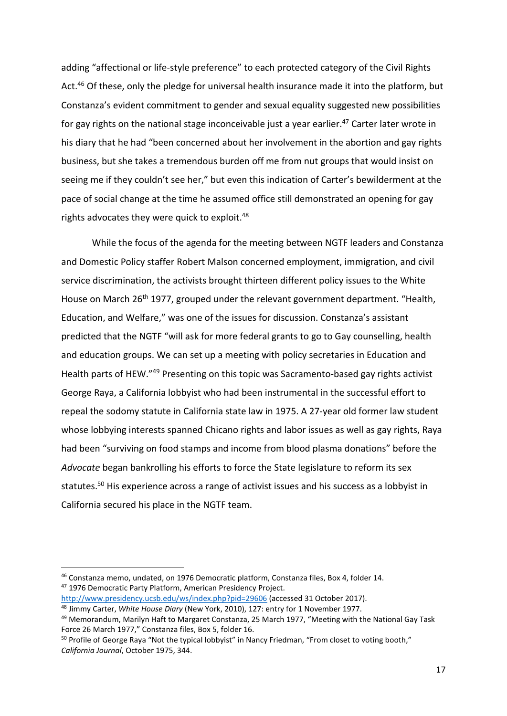adding "affectional or life-style preference" to each protected category of the Civil Rights Act.<sup>46</sup> Of these, only the pledge for universal health insurance made it into the platform, but Constanza's evident commitment to gender and sexual equality suggested new possibilities for gay rights on the national stage inconceivable just a year earlier.<sup>47</sup> Carter later wrote in his diary that he had "been concerned about her involvement in the abortion and gay rights business, but she takes a tremendous burden off me from nut groups that would insist on seeing me if they couldn't see her," but even this indication of Carter's bewilderment at the pace of social change at the time he assumed office still demonstrated an opening for gay rights advocates they were quick to exploit.<sup>48</sup>

While the focus of the agenda for the meeting between NGTF leaders and Constanza and Domestic Policy staffer Robert Malson concerned employment, immigration, and civil service discrimination, the activists brought thirteen different policy issues to the White House on March 26<sup>th</sup> 1977, grouped under the relevant government department. "Health, Education, and Welfare," was one of the issues for discussion. Constanza's assistant predicted that the NGTF "will ask for more federal grants to go to Gay counselling, health and education groups. We can set up a meeting with policy secretaries in Education and Health parts of HEW."<sup>49</sup> Presenting on this topic was Sacramento-based gay rights activist George Raya, a California lobbyist who had been instrumental in the successful effort to repeal the sodomy statute in California state law in 1975. A 27-year old former law student whose lobbying interests spanned Chicano rights and labor issues as well as gay rights, Raya had been "surviving on food stamps and income from blood plasma donations" before the *Advocate* began bankrolling his efforts to force the State legislature to reform its sex statutes.<sup>50</sup> His experience across a range of activist issues and his success as a lobbyist in California secured his place in the NGTF team.

-

<sup>46</sup> Constanza memo, undated, on 1976 Democratic platform, Constanza files, Box 4, folder 14.

<sup>47</sup> 1976 Democratic Party Platform, American Presidency Project.

<http://www.presidency.ucsb.edu/ws/index.php?pid=29606>(accessed 31 October 2017).

<sup>48</sup> Jimmy Carter, *White House Diary* (New York, 2010), 127: entry for 1 November 1977.

<sup>&</sup>lt;sup>49</sup> Memorandum, Marilyn Haft to Margaret Constanza, 25 March 1977, "Meeting with the National Gay Task Force 26 March 1977," Constanza files, Box 5, folder 16.

<sup>&</sup>lt;sup>50</sup> Profile of George Raya "Not the typical lobbyist" in Nancy Friedman, "From closet to voting booth," *California Journal*, October 1975, 344.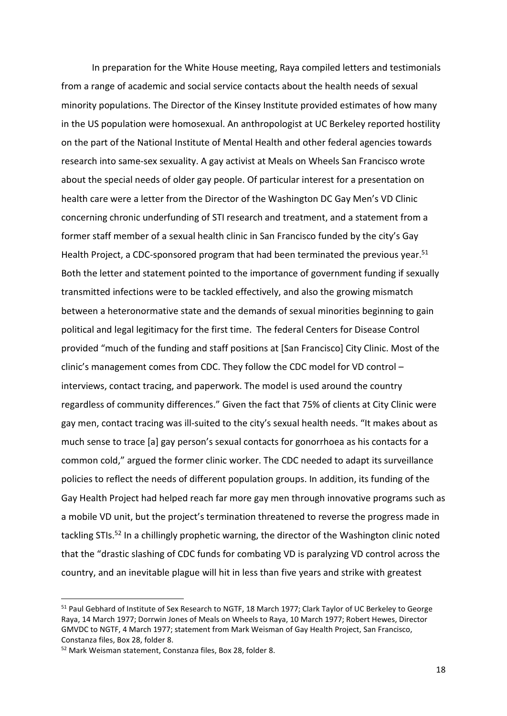In preparation for the White House meeting, Raya compiled letters and testimonials from a range of academic and social service contacts about the health needs of sexual minority populations. The Director of the Kinsey Institute provided estimates of how many in the US population were homosexual. An anthropologist at UC Berkeley reported hostility on the part of the National Institute of Mental Health and other federal agencies towards research into same-sex sexuality. A gay activist at Meals on Wheels San Francisco wrote about the special needs of older gay people. Of particular interest for a presentation on health care were a letter from the Director of the Washington DC Gay Men's VD Clinic concerning chronic underfunding of STI research and treatment, and a statement from a former staff member of a sexual health clinic in San Francisco funded by the city's Gay Health Project, a CDC-sponsored program that had been terminated the previous year.<sup>51</sup> Both the letter and statement pointed to the importance of government funding if sexually transmitted infections were to be tackled effectively, and also the growing mismatch between a heteronormative state and the demands of sexual minorities beginning to gain political and legal legitimacy for the first time. The federal Centers for Disease Control provided "much of the funding and staff positions at [San Francisco] City Clinic. Most of the clinic's management comes from CDC. They follow the CDC model for VD control – interviews, contact tracing, and paperwork. The model is used around the country regardless of community differences." Given the fact that 75% of clients at City Clinic were gay men, contact tracing was ill-suited to the city's sexual health needs. "It makes about as much sense to trace [a] gay person's sexual contacts for gonorrhoea as his contacts for a common cold," argued the former clinic worker. The CDC needed to adapt its surveillance policies to reflect the needs of different population groups. In addition, its funding of the Gay Health Project had helped reach far more gay men through innovative programs such as a mobile VD unit, but the project's termination threatened to reverse the progress made in tackling STIs.<sup>52</sup> In a chillingly prophetic warning, the director of the Washington clinic noted that the "drastic slashing of CDC funds for combating VD is paralyzing VD control across the country, and an inevitable plague will hit in less than five years and strike with greatest

<sup>&</sup>lt;sup>51</sup> Paul Gebhard of Institute of Sex Research to NGTF, 18 March 1977; Clark Taylor of UC Berkeley to George Raya, 14 March 1977; Dorrwin Jones of Meals on Wheels to Raya, 10 March 1977; Robert Hewes, Director GMVDC to NGTF, 4 March 1977; statement from Mark Weisman of Gay Health Project, San Francisco, Constanza files, Box 28, folder 8.

<sup>52</sup> Mark Weisman statement, Constanza files, Box 28, folder 8.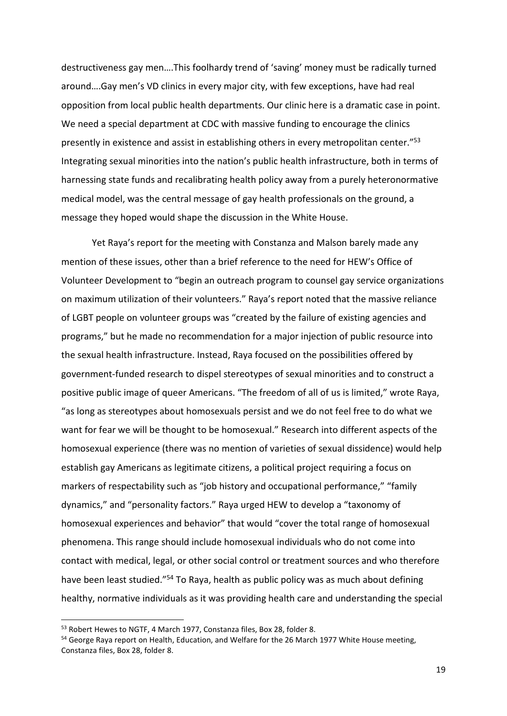destructiveness gay men….This foolhardy trend of 'saving' money must be radically turned around….Gay men's VD clinics in every major city, with few exceptions, have had real opposition from local public health departments. Our clinic here is a dramatic case in point. We need a special department at CDC with massive funding to encourage the clinics presently in existence and assist in establishing others in every metropolitan center."<sup>53</sup> Integrating sexual minorities into the nation's public health infrastructure, both in terms of harnessing state funds and recalibrating health policy away from a purely heteronormative medical model, was the central message of gay health professionals on the ground, a message they hoped would shape the discussion in the White House.

Yet Raya's report for the meeting with Constanza and Malson barely made any mention of these issues, other than a brief reference to the need for HEW's Office of Volunteer Development to "begin an outreach program to counsel gay service organizations on maximum utilization of their volunteers." Raya's report noted that the massive reliance of LGBT people on volunteer groups was "created by the failure of existing agencies and programs," but he made no recommendation for a major injection of public resource into the sexual health infrastructure. Instead, Raya focused on the possibilities offered by government-funded research to dispel stereotypes of sexual minorities and to construct a positive public image of queer Americans. "The freedom of all of us is limited," wrote Raya, "as long as stereotypes about homosexuals persist and we do not feel free to do what we want for fear we will be thought to be homosexual." Research into different aspects of the homosexual experience (there was no mention of varieties of sexual dissidence) would help establish gay Americans as legitimate citizens, a political project requiring a focus on markers of respectability such as "job history and occupational performance," "family dynamics," and "personality factors." Raya urged HEW to develop a "taxonomy of homosexual experiences and behavior" that would "cover the total range of homosexual phenomena. This range should include homosexual individuals who do not come into contact with medical, legal, or other social control or treatment sources and who therefore have been least studied."<sup>54</sup> To Raya, health as public policy was as much about defining healthy, normative individuals as it was providing health care and understanding the special

<sup>53</sup> Robert Hewes to NGTF, 4 March 1977, Constanza files, Box 28, folder 8.

<sup>&</sup>lt;sup>54</sup> George Raya report on Health, Education, and Welfare for the 26 March 1977 White House meeting, Constanza files, Box 28, folder 8.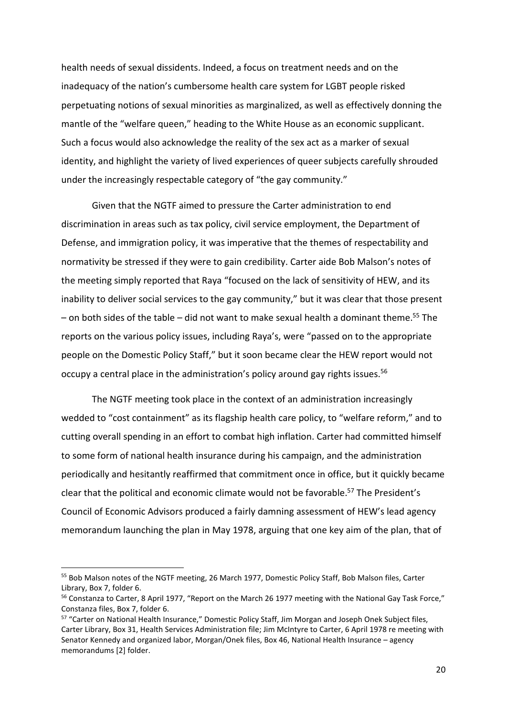health needs of sexual dissidents. Indeed, a focus on treatment needs and on the inadequacy of the nation's cumbersome health care system for LGBT people risked perpetuating notions of sexual minorities as marginalized, as well as effectively donning the mantle of the "welfare queen," heading to the White House as an economic supplicant. Such a focus would also acknowledge the reality of the sex act as a marker of sexual identity, and highlight the variety of lived experiences of queer subjects carefully shrouded under the increasingly respectable category of "the gay community."

Given that the NGTF aimed to pressure the Carter administration to end discrimination in areas such as tax policy, civil service employment, the Department of Defense, and immigration policy, it was imperative that the themes of respectability and normativity be stressed if they were to gain credibility. Carter aide Bob Malson's notes of the meeting simply reported that Raya "focused on the lack of sensitivity of HEW, and its inability to deliver social services to the gay community," but it was clear that those present – on both sides of the table – did not want to make sexual health a dominant theme.<sup>55</sup> The reports on the various policy issues, including Raya's, were "passed on to the appropriate people on the Domestic Policy Staff," but it soon became clear the HEW report would not occupy a central place in the administration's policy around gay rights issues.<sup>56</sup>

The NGTF meeting took place in the context of an administration increasingly wedded to "cost containment" as its flagship health care policy, to "welfare reform," and to cutting overall spending in an effort to combat high inflation. Carter had committed himself to some form of national health insurance during his campaign, and the administration periodically and hesitantly reaffirmed that commitment once in office, but it quickly became clear that the political and economic climate would not be favorable.<sup>57</sup> The President's Council of Economic Advisors produced a fairly damning assessment of HEW's lead agency memorandum launching the plan in May 1978, arguing that one key aim of the plan, that of

-

<sup>&</sup>lt;sup>55</sup> Bob Malson notes of the NGTF meeting, 26 March 1977, Domestic Policy Staff, Bob Malson files, Carter Library, Box 7, folder 6.

<sup>&</sup>lt;sup>56</sup> Constanza to Carter, 8 April 1977, "Report on the March 26 1977 meeting with the National Gay Task Force," Constanza files, Box 7, folder 6.

<sup>57</sup> "Carter on National Health Insurance," Domestic Policy Staff, Jim Morgan and Joseph Onek Subject files, Carter Library, Box 31, Health Services Administration file; Jim McIntyre to Carter, 6 April 1978 re meeting with Senator Kennedy and organized labor, Morgan/Onek files, Box 46, National Health Insurance – agency memorandums [2] folder.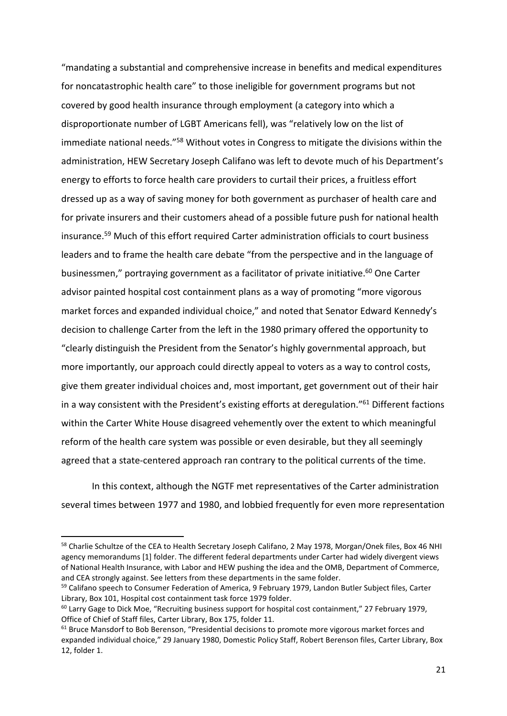"mandating a substantial and comprehensive increase in benefits and medical expenditures for noncatastrophic health care" to those ineligible for government programs but not covered by good health insurance through employment (a category into which a disproportionate number of LGBT Americans fell), was "relatively low on the list of immediate national needs."<sup>58</sup> Without votes in Congress to mitigate the divisions within the administration, HEW Secretary Joseph Califano was left to devote much of his Department's energy to efforts to force health care providers to curtail their prices, a fruitless effort dressed up as a way of saving money for both government as purchaser of health care and for private insurers and their customers ahead of a possible future push for national health insurance.<sup>59</sup> Much of this effort required Carter administration officials to court business leaders and to frame the health care debate "from the perspective and in the language of businessmen," portraying government as a facilitator of private initiative.<sup>60</sup> One Carter advisor painted hospital cost containment plans as a way of promoting "more vigorous market forces and expanded individual choice," and noted that Senator Edward Kennedy's decision to challenge Carter from the left in the 1980 primary offered the opportunity to "clearly distinguish the President from the Senator's highly governmental approach, but more importantly, our approach could directly appeal to voters as a way to control costs, give them greater individual choices and, most important, get government out of their hair in a way consistent with the President's existing efforts at deregulation."<sup>61</sup> Different factions within the Carter White House disagreed vehemently over the extent to which meaningful reform of the health care system was possible or even desirable, but they all seemingly agreed that a state-centered approach ran contrary to the political currents of the time.

In this context, although the NGTF met representatives of the Carter administration several times between 1977 and 1980, and lobbied frequently for even more representation

<sup>58</sup> Charlie Schultze of the CEA to Health Secretary Joseph Califano, 2 May 1978, Morgan/Onek files, Box 46 NHI agency memorandums [1] folder. The different federal departments under Carter had widely divergent views of National Health Insurance, with Labor and HEW pushing the idea and the OMB, Department of Commerce, and CEA strongly against. See letters from these departments in the same folder.

<sup>&</sup>lt;sup>59</sup> Califano speech to Consumer Federation of America, 9 February 1979, Landon Butler Subject files, Carter Library, Box 101, Hospital cost containment task force 1979 folder.

<sup>&</sup>lt;sup>60</sup> Larry Gage to Dick Moe, "Recruiting business support for hospital cost containment," 27 February 1979, Office of Chief of Staff files, Carter Library, Box 175, folder 11.

 $61$  Bruce Mansdorf to Bob Berenson, "Presidential decisions to promote more vigorous market forces and expanded individual choice," 29 January 1980, Domestic Policy Staff, Robert Berenson files, Carter Library, Box 12, folder 1.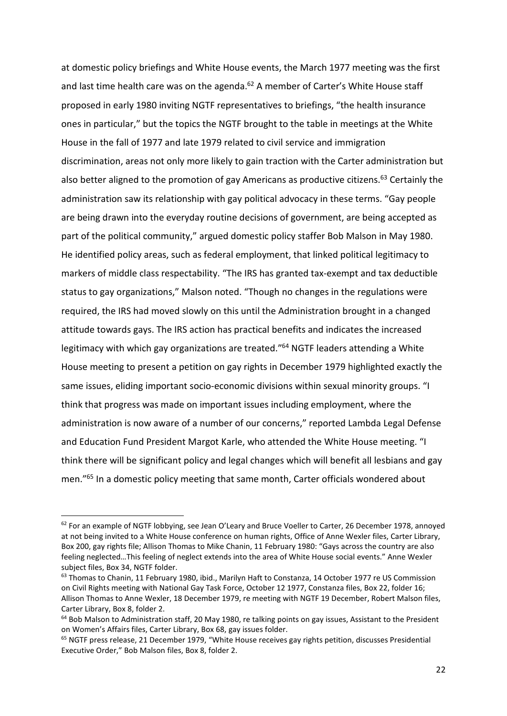at domestic policy briefings and White House events, the March 1977 meeting was the first and last time health care was on the agenda.<sup>62</sup> A member of Carter's White House staff proposed in early 1980 inviting NGTF representatives to briefings, "the health insurance ones in particular," but the topics the NGTF brought to the table in meetings at the White House in the fall of 1977 and late 1979 related to civil service and immigration discrimination, areas not only more likely to gain traction with the Carter administration but also better aligned to the promotion of gay Americans as productive citizens.<sup>63</sup> Certainly the administration saw its relationship with gay political advocacy in these terms. "Gay people are being drawn into the everyday routine decisions of government, are being accepted as part of the political community," argued domestic policy staffer Bob Malson in May 1980. He identified policy areas, such as federal employment, that linked political legitimacy to markers of middle class respectability. "The IRS has granted tax-exempt and tax deductible status to gay organizations," Malson noted. "Though no changes in the regulations were required, the IRS had moved slowly on this until the Administration brought in a changed attitude towards gays. The IRS action has practical benefits and indicates the increased legitimacy with which gay organizations are treated."<sup>64</sup> NGTF leaders attending a White House meeting to present a petition on gay rights in December 1979 highlighted exactly the same issues, eliding important socio-economic divisions within sexual minority groups. "I think that progress was made on important issues including employment, where the administration is now aware of a number of our concerns," reported Lambda Legal Defense and Education Fund President Margot Karle, who attended the White House meeting. "I think there will be significant policy and legal changes which will benefit all lesbians and gay men."<sup>65</sup> In a domestic policy meeting that same month, Carter officials wondered about

 $62$  For an example of NGTF lobbying, see Jean O'Leary and Bruce Voeller to Carter, 26 December 1978, annoyed at not being invited to a White House conference on human rights, Office of Anne Wexler files, Carter Library, Box 200, gay rights file; Allison Thomas to Mike Chanin, 11 February 1980: "Gays across the country are also feeling neglected…This feeling of neglect extends into the area of White House social events." Anne Wexler subject files, Box 34, NGTF folder.

<sup>&</sup>lt;sup>63</sup> Thomas to Chanin, 11 February 1980, ibid., Marilyn Haft to Constanza, 14 October 1977 re US Commission on Civil Rights meeting with National Gay Task Force, October 12 1977, Constanza files, Box 22, folder 16; Allison Thomas to Anne Wexler, 18 December 1979, re meeting with NGTF 19 December, Robert Malson files, Carter Library, Box 8, folder 2.

<sup>&</sup>lt;sup>64</sup> Bob Malson to Administration staff, 20 May 1980, re talking points on gay issues, Assistant to the President on Women's Affairs files, Carter Library, Box 68, gay issues folder.

 $65$  NGTF press release, 21 December 1979, "White House receives gay rights petition, discusses Presidential Executive Order," Bob Malson files, Box 8, folder 2.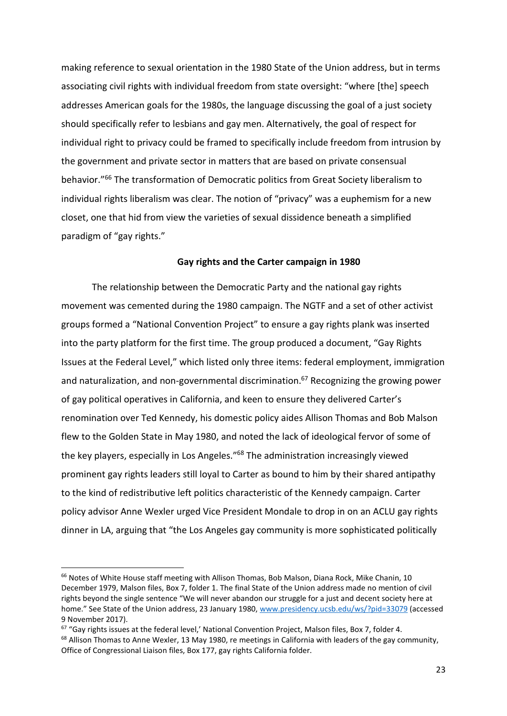making reference to sexual orientation in the 1980 State of the Union address, but in terms associating civil rights with individual freedom from state oversight: "where [the] speech addresses American goals for the 1980s, the language discussing the goal of a just society should specifically refer to lesbians and gay men. Alternatively, the goal of respect for individual right to privacy could be framed to specifically include freedom from intrusion by the government and private sector in matters that are based on private consensual behavior."<sup>66</sup> The transformation of Democratic politics from Great Society liberalism to individual rights liberalism was clear. The notion of "privacy" was a euphemism for a new closet, one that hid from view the varieties of sexual dissidence beneath a simplified paradigm of "gay rights."

### **Gay rights and the Carter campaign in 1980**

The relationship between the Democratic Party and the national gay rights movement was cemented during the 1980 campaign. The NGTF and a set of other activist groups formed a "National Convention Project" to ensure a gay rights plank was inserted into the party platform for the first time. The group produced a document, "Gay Rights Issues at the Federal Level," which listed only three items: federal employment, immigration and naturalization, and non-governmental discrimination.<sup>67</sup> Recognizing the growing power of gay political operatives in California, and keen to ensure they delivered Carter's renomination over Ted Kennedy, his domestic policy aides Allison Thomas and Bob Malson flew to the Golden State in May 1980, and noted the lack of ideological fervor of some of the key players, especially in Los Angeles."<sup>68</sup> The administration increasingly viewed prominent gay rights leaders still loyal to Carter as bound to him by their shared antipathy to the kind of redistributive left politics characteristic of the Kennedy campaign. Carter policy advisor Anne Wexler urged Vice President Mondale to drop in on an ACLU gay rights dinner in LA, arguing that "the Los Angeles gay community is more sophisticated politically

-

<sup>&</sup>lt;sup>66</sup> Notes of White House staff meeting with Allison Thomas, Bob Malson, Diana Rock, Mike Chanin, 10 December 1979, Malson files, Box 7, folder 1. The final State of the Union address made no mention of civil rights beyond the single sentence "We will never abandon our struggle for a just and decent society here at home." See State of the Union address, 23 January 1980, [www.presidency.ucsb.edu/ws/?pid=33079](http://www.presidency.ucsb.edu/ws/?pid=33079) (accessed 9 November 2017).

<sup>&</sup>lt;sup>67</sup> "Gay rights issues at the federal level,' National Convention Project, Malson files, Box 7, folder 4. <sup>68</sup> Allison Thomas to Anne Wexler, 13 May 1980, re meetings in California with leaders of the gay community, Office of Congressional Liaison files, Box 177, gay rights California folder.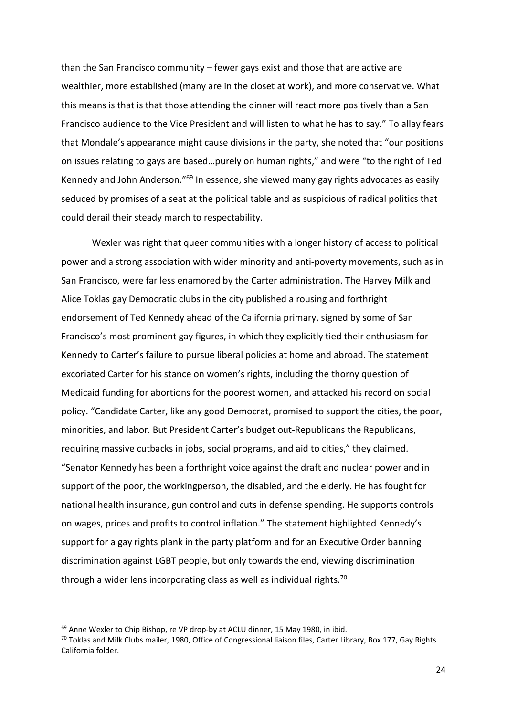than the San Francisco community – fewer gays exist and those that are active are wealthier, more established (many are in the closet at work), and more conservative. What this means is that is that those attending the dinner will react more positively than a San Francisco audience to the Vice President and will listen to what he has to say." To allay fears that Mondale's appearance might cause divisions in the party, she noted that "our positions on issues relating to gays are based…purely on human rights," and were "to the right of Ted Kennedy and John Anderson."<sup>69</sup> In essence, she viewed many gay rights advocates as easily seduced by promises of a seat at the political table and as suspicious of radical politics that could derail their steady march to respectability.

Wexler was right that queer communities with a longer history of access to political power and a strong association with wider minority and anti-poverty movements, such as in San Francisco, were far less enamored by the Carter administration. The Harvey Milk and Alice Toklas gay Democratic clubs in the city published a rousing and forthright endorsement of Ted Kennedy ahead of the California primary, signed by some of San Francisco's most prominent gay figures, in which they explicitly tied their enthusiasm for Kennedy to Carter's failure to pursue liberal policies at home and abroad. The statement excoriated Carter for his stance on women's rights, including the thorny question of Medicaid funding for abortions for the poorest women, and attacked his record on social policy. "Candidate Carter, like any good Democrat, promised to support the cities, the poor, minorities, and labor. But President Carter's budget out-Republicans the Republicans, requiring massive cutbacks in jobs, social programs, and aid to cities," they claimed. "Senator Kennedy has been a forthright voice against the draft and nuclear power and in support of the poor, the workingperson, the disabled, and the elderly. He has fought for national health insurance, gun control and cuts in defense spending. He supports controls on wages, prices and profits to control inflation." The statement highlighted Kennedy's support for a gay rights plank in the party platform and for an Executive Order banning discrimination against LGBT people, but only towards the end, viewing discrimination through a wider lens incorporating class as well as individual rights.<sup>70</sup>

<sup>&</sup>lt;sup>69</sup> Anne Wexler to Chip Bishop, re VP drop-by at ACLU dinner, 15 May 1980, in ibid.

 $70$  Toklas and Milk Clubs mailer, 1980, Office of Congressional liaison files, Carter Library, Box 177, Gay Rights California folder.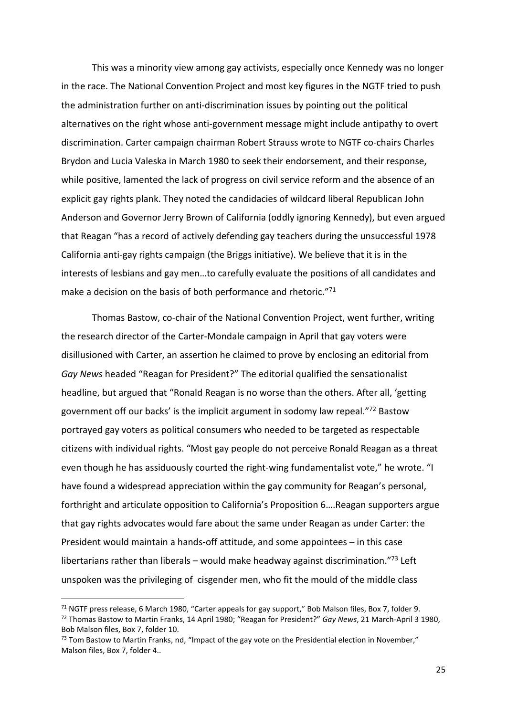This was a minority view among gay activists, especially once Kennedy was no longer in the race. The National Convention Project and most key figures in the NGTF tried to push the administration further on anti-discrimination issues by pointing out the political alternatives on the right whose anti-government message might include antipathy to overt discrimination. Carter campaign chairman Robert Strauss wrote to NGTF co-chairs Charles Brydon and Lucia Valeska in March 1980 to seek their endorsement, and their response, while positive, lamented the lack of progress on civil service reform and the absence of an explicit gay rights plank. They noted the candidacies of wildcard liberal Republican John Anderson and Governor Jerry Brown of California (oddly ignoring Kennedy), but even argued that Reagan "has a record of actively defending gay teachers during the unsuccessful 1978 California anti-gay rights campaign (the Briggs initiative). We believe that it is in the interests of lesbians and gay men…to carefully evaluate the positions of all candidates and make a decision on the basis of both performance and rhetoric."71

Thomas Bastow, co-chair of the National Convention Project, went further, writing the research director of the Carter-Mondale campaign in April that gay voters were disillusioned with Carter, an assertion he claimed to prove by enclosing an editorial from *Gay News* headed "Reagan for President?" The editorial qualified the sensationalist headline, but argued that "Ronald Reagan is no worse than the others. After all, 'getting government off our backs' is the implicit argument in sodomy law repeal."<sup>72</sup> Bastow portrayed gay voters as political consumers who needed to be targeted as respectable citizens with individual rights. "Most gay people do not perceive Ronald Reagan as a threat even though he has assiduously courted the right-wing fundamentalist vote," he wrote. "I have found a widespread appreciation within the gay community for Reagan's personal, forthright and articulate opposition to California's Proposition 6….Reagan supporters argue that gay rights advocates would fare about the same under Reagan as under Carter: the President would maintain a hands-off attitude, and some appointees – in this case libertarians rather than liberals – would make headway against discrimination. $73$  Left unspoken was the privileging of cisgender men, who fit the mould of the middle class

 $71$  NGTF press release, 6 March 1980, "Carter appeals for gay support," Bob Malson files, Box 7, folder 9. <sup>72</sup> Thomas Bastow to Martin Franks, 14 April 1980; "Reagan for President?" *Gay News*, 21 March-April 3 1980, Bob Malson files, Box 7, folder 10.

 $73$  Tom Bastow to Martin Franks, nd, "Impact of the gay vote on the Presidential election in November," Malson files, Box 7, folder 4..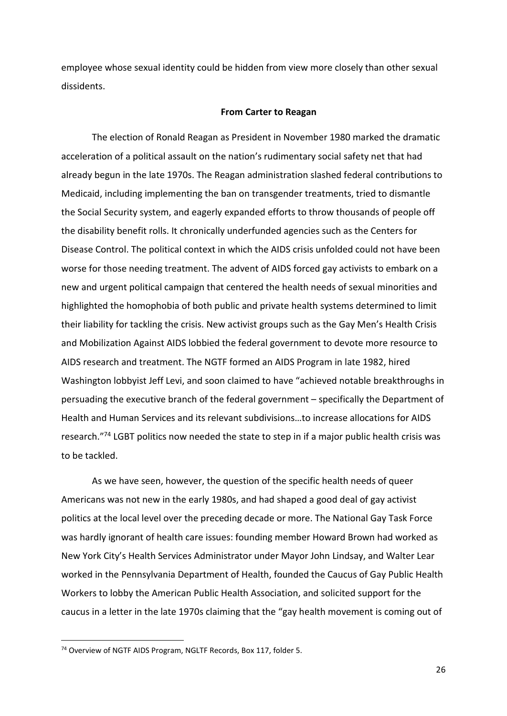employee whose sexual identity could be hidden from view more closely than other sexual dissidents.

#### **From Carter to Reagan**

The election of Ronald Reagan as President in November 1980 marked the dramatic acceleration of a political assault on the nation's rudimentary social safety net that had already begun in the late 1970s. The Reagan administration slashed federal contributions to Medicaid, including implementing the ban on transgender treatments, tried to dismantle the Social Security system, and eagerly expanded efforts to throw thousands of people off the disability benefit rolls. It chronically underfunded agencies such as the Centers for Disease Control. The political context in which the AIDS crisis unfolded could not have been worse for those needing treatment. The advent of AIDS forced gay activists to embark on a new and urgent political campaign that centered the health needs of sexual minorities and highlighted the homophobia of both public and private health systems determined to limit their liability for tackling the crisis. New activist groups such as the Gay Men's Health Crisis and Mobilization Against AIDS lobbied the federal government to devote more resource to AIDS research and treatment. The NGTF formed an AIDS Program in late 1982, hired Washington lobbyist Jeff Levi, and soon claimed to have "achieved notable breakthroughs in persuading the executive branch of the federal government – specifically the Department of Health and Human Services and its relevant subdivisions…to increase allocations for AIDS research."<sup>74</sup> LGBT politics now needed the state to step in if a major public health crisis was to be tackled.

As we have seen, however, the question of the specific health needs of queer Americans was not new in the early 1980s, and had shaped a good deal of gay activist politics at the local level over the preceding decade or more. The National Gay Task Force was hardly ignorant of health care issues: founding member Howard Brown had worked as New York City's Health Services Administrator under Mayor John Lindsay, and Walter Lear worked in the Pennsylvania Department of Health, founded the Caucus of Gay Public Health Workers to lobby the American Public Health Association, and solicited support for the caucus in a letter in the late 1970s claiming that the "gay health movement is coming out of

<sup>74</sup> Overview of NGTF AIDS Program, NGLTF Records, Box 117, folder 5.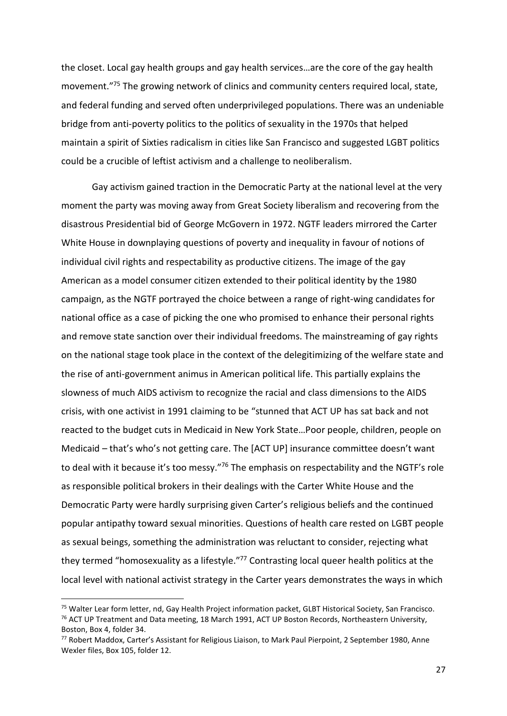the closet. Local gay health groups and gay health services…are the core of the gay health movement."<sup>75</sup> The growing network of clinics and community centers required local, state, and federal funding and served often underprivileged populations. There was an undeniable bridge from anti-poverty politics to the politics of sexuality in the 1970s that helped maintain a spirit of Sixties radicalism in cities like San Francisco and suggested LGBT politics could be a crucible of leftist activism and a challenge to neoliberalism.

Gay activism gained traction in the Democratic Party at the national level at the very moment the party was moving away from Great Society liberalism and recovering from the disastrous Presidential bid of George McGovern in 1972. NGTF leaders mirrored the Carter White House in downplaying questions of poverty and inequality in favour of notions of individual civil rights and respectability as productive citizens. The image of the gay American as a model consumer citizen extended to their political identity by the 1980 campaign, as the NGTF portrayed the choice between a range of right-wing candidates for national office as a case of picking the one who promised to enhance their personal rights and remove state sanction over their individual freedoms. The mainstreaming of gay rights on the national stage took place in the context of the delegitimizing of the welfare state and the rise of anti-government animus in American political life. This partially explains the slowness of much AIDS activism to recognize the racial and class dimensions to the AIDS crisis, with one activist in 1991 claiming to be "stunned that ACT UP has sat back and not reacted to the budget cuts in Medicaid in New York State…Poor people, children, people on Medicaid – that's who's not getting care. The [ACT UP] insurance committee doesn't want to deal with it because it's too messy."<sup>76</sup> The emphasis on respectability and the NGTF's role as responsible political brokers in their dealings with the Carter White House and the Democratic Party were hardly surprising given Carter's religious beliefs and the continued popular antipathy toward sexual minorities. Questions of health care rested on LGBT people as sexual beings, something the administration was reluctant to consider, rejecting what they termed "homosexuality as a lifestyle."<sup>77</sup> Contrasting local queer health politics at the local level with national activist strategy in the Carter years demonstrates the ways in which

<sup>75</sup> Walter Lear form letter, nd, Gay Health Project information packet, GLBT Historical Society, San Francisco. <sup>76</sup> ACT UP Treatment and Data meeting, 18 March 1991, ACT UP Boston Records, Northeastern University, Boston, Box 4, folder 34.

<sup>77</sup> Robert Maddox, Carter's Assistant for Religious Liaison, to Mark Paul Pierpoint, 2 September 1980, Anne Wexler files, Box 105, folder 12.